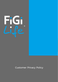

# Customer Privacy Policy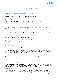

# CUSTOMER PRIVACY POLICY

# FUTURE INSURANCE GROUP INTERNATIONAL PTY LTD (FiGi LIFE)

Future Insurance Group International Pty Ltd (FiGi Life) (ABN 18 619 183 149, AFSL 506558) is an underwriting agency formed in 2017 and provides lifestyle related insurance products.

# **INTRODUCTION**

The privacy of your personal information is very important to FiGi Life ('us', 'our' or 'we').

This Privacy Policy details how FiGi Life collects, uses and protects an individual's personal information in accordance with our obligations under the Privacy Act 1988 (Cth) ("Privacy Act").

The terms of our Privacy Policy may change from time to time. The current terms will be displayed on our website.

# ABOUT THE PRIVACY ACT

The Federal Government's Privacy Act regulates, via the Australian Privacy Principles, the way private sector organisations can collect, use, keep, secure and disclose personal information.

Personal information includes information that can be used to identify an individual e.g name, address, telephone number, age, and details about your devices.

The aim of the law is to ensure that private organisations that hold personal information about people, handle that information responsibly. It also gives people some control over the way information about them is handled. For example, it gives individuals the right to know what personal information an organisation holds about them and a right to correct that information if it is wrong.

# INFORMATION COLLECTED

We collect personal information from you that is relevant to providing products and services to you. Where possible, we collect it directly from you.

We will only do so with your consent, or otherwise in accordance with the Privacy Act. That consent may be express, or implied, such as when you have been informed verbally, or when you continue a telephone call with our staff, after you have heard a recorded message.

# ONLINE PRIVACY

We may collect some personally identifiable information about you at different times depending on how you choose to access our website.

If you submit your e-mail address for a request it will be used to complete that request and send a reply. If you submit your email address as part of your login to the customer portal, we may also use it to provide you with specific information regarding our services and insurance products.

We may request your e-mail address for the inclusion into a mailing list. If you choose to submit your e-mail address an option to remove this address from our database will be offered to you via e-mail correspondence. All opt-in e-mails sent to the mailing list will comply with the Australian Spam Act.

# USE OF COOKIES

From time to time, we may use data collection devices such as 'cookies' in conjunction with our website. Cookies are commonly used on the internet. They are a small file placed onto a computer by a server. A cookie can later be identified by a server. We may use both 'persistent' and 'session cookies'. We use the services of a marketing company to help us measure the effectiveness of our advertising and how visitors use our site. Although our marketing company manages the information coming from our site on our behalf, we control